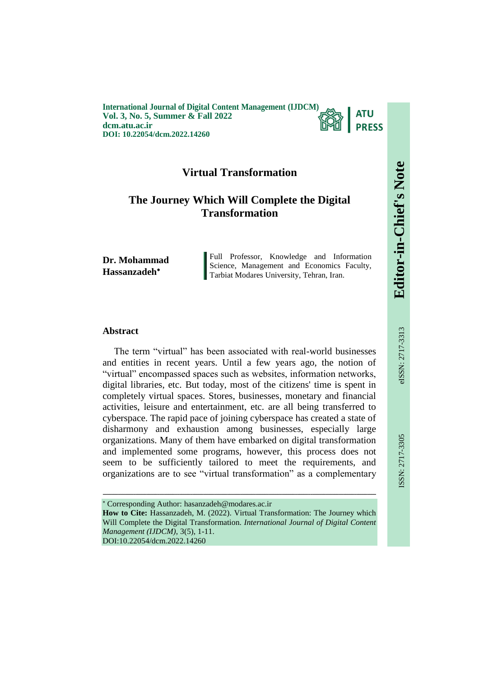**International Journal of Digital Content Management (IJDCM) Vol. 3, No. 5, Summer & Fall 2022 dcm.atu.ac.ir DOI: 10.22054/dcm.2022.14260**



# **Virtual Transformation**

# **The Journey Which Will Complete the Digital Transformation**

**Dr. Mohammad Hassanzadeh**

Full Professor, Knowledge and Information Science, Management and Economics Faculty, Tarbiat Modares University, Tehran, Iran.

### **Abstract**

The term "virtual" has been associated with real-world businesses and entities in recent years. Until a few years ago, the notion of "virtual" encompassed spaces such as websites, information networks, digital libraries, etc. But today, most of the citizens' time is spent in completely virtual spaces. Stores, businesses, monetary and financial activities, leisure and entertainment, etc. are all being transferred to cyberspace. The rapid pace of joining cyberspace has created a state of disharmony and exhaustion among businesses, especially large organizations. Many of them have embarked on digital transformation and implemented some programs, however, this process does not seem to be sufficiently tailored to meet the requirements, and organizations are to see "virtual transformation" as a complementary

Corresponding Author: hasanzadeh@modares.ac.ir

**How to Cite:** Hassanzadeh, M. (2022). Virtual Transformation: The Journey which Will Complete the Digital Transformation. *International Journal of Digital Content Management (IJDCM)*, 3(5), 1-11. DOI:10.22054/dcm.2022.14260

ـــــــــــــــــــــــــــــــــــــــــــــــــــــــــــــــــــــــــــــــــــــــــــــــــــــــــــــــــــــــــــــ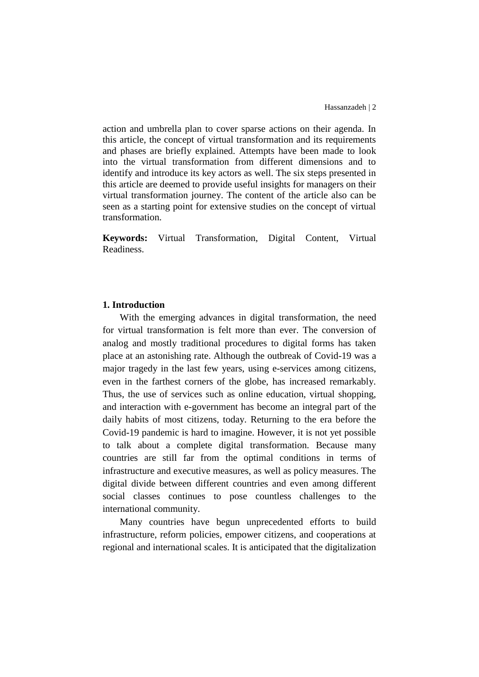action and umbrella plan to cover sparse actions on their agenda. In this article, the concept of virtual transformation and its requirements and phases are briefly explained. Attempts have been made to look into the virtual transformation from different dimensions and to identify and introduce its key actors as well. The six steps presented in this article are deemed to provide useful insights for managers on their virtual transformation journey. The content of the article also can be seen as a starting point for extensive studies on the concept of virtual transformation.

**Keywords:** Virtual Transformation, Digital Content, Virtual Readiness.

### **1. Introduction**

With the emerging advances in digital transformation, the need for virtual transformation is felt more than ever. The conversion of analog and mostly traditional procedures to digital forms has taken place at an astonishing rate. Although the outbreak of Covid-19 was a major tragedy in the last few years, using e-services among citizens, even in the farthest corners of the globe, has increased remarkably. Thus, the use of services such as online education, virtual shopping, and interaction with e-government has become an integral part of the daily habits of most citizens, today. Returning to the era before the Covid-19 pandemic is hard to imagine. However, it is not yet possible to talk about a complete digital transformation. Because many countries are still far from the optimal conditions in terms of infrastructure and executive measures, as well as policy measures. The digital divide between different countries and even among different social classes continues to pose countless challenges to the international community.

Many countries have begun unprecedented efforts to build infrastructure, reform policies, empower citizens, and cooperations at regional and international scales. It is anticipated that the digitalization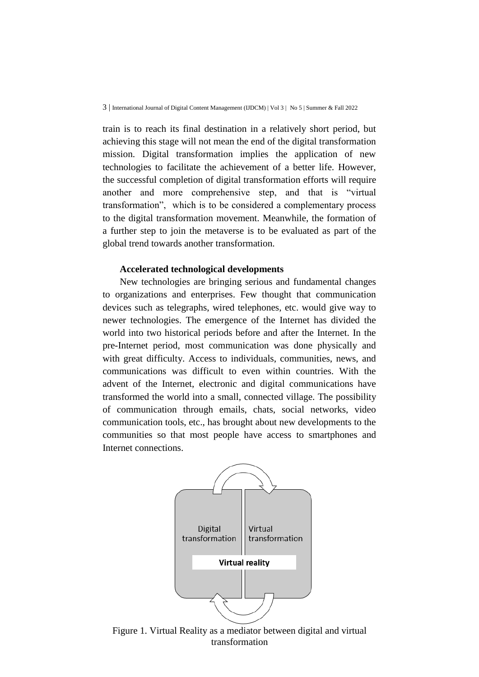train is to reach its final destination in a relatively short period, but achieving this stage will not mean the end of the digital transformation mission. Digital transformation implies the application of new technologies to facilitate the achievement of a better life. However, the successful completion of digital transformation efforts will require another and more comprehensive step, and that is "virtual transformation", which is to be considered a complementary process to the digital transformation movement. Meanwhile, the formation of a further step to join the metaverse is to be evaluated as part of the global trend towards another transformation.

#### **Accelerated technological developments**

New technologies are bringing serious and fundamental changes to organizations and enterprises. Few thought that communication devices such as telegraphs, wired telephones, etc. would give way to newer technologies. The emergence of the Internet has divided the world into two historical periods before and after the Internet. In the pre-Internet period, most communication was done physically and with great difficulty. Access to individuals, communities, news, and communications was difficult to even within countries. With the advent of the Internet, electronic and digital communications have transformed the world into a small, connected village. The possibility of communication through emails, chats, social networks, video communication tools, etc., has brought about new developments to the communities so that most people have access to smartphones and Internet connections.



Figure 1. Virtual Reality as a mediator between digital and virtual transformation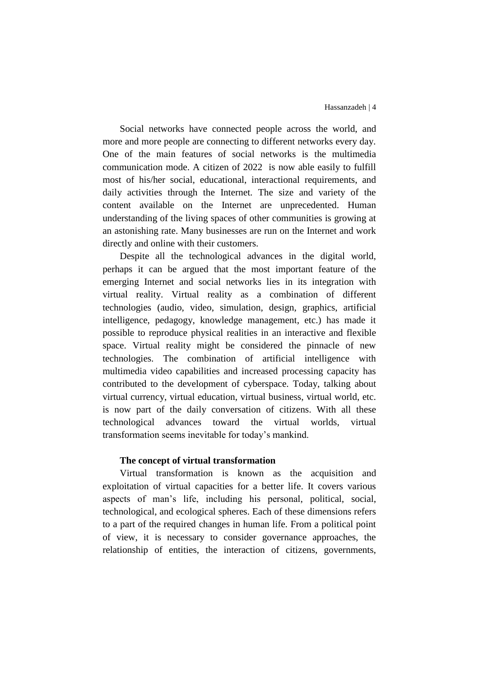Social networks have connected people across the world, and more and more people are connecting to different networks every day. One of the main features of social networks is the multimedia communication mode. A citizen of 2022 is now able easily to fulfill most of his/her social, educational, interactional requirements, and daily activities through the Internet. The size and variety of the content available on the Internet are unprecedented. Human understanding of the living spaces of other communities is growing at an astonishing rate. Many businesses are run on the Internet and work directly and online with their customers.

Despite all the technological advances in the digital world, perhaps it can be argued that the most important feature of the emerging Internet and social networks lies in its integration with virtual reality. Virtual reality as a combination of different technologies (audio, video, simulation, design, graphics, artificial intelligence, pedagogy, knowledge management, etc.) has made it possible to reproduce physical realities in an interactive and flexible space. Virtual reality might be considered the pinnacle of new technologies. The combination of artificial intelligence with multimedia video capabilities and increased processing capacity has contributed to the development of cyberspace. Today, talking about virtual currency, virtual education, virtual business, virtual world, etc. is now part of the daily conversation of citizens. With all these technological advances toward the virtual worlds, virtual transformation seems inevitable for today's mankind.

### **The concept of virtual transformation**

Virtual transformation is known as the acquisition and exploitation of virtual capacities for a better life. It covers various aspects of man's life, including his personal, political, social, technological, and ecological spheres. Each of these dimensions refers to a part of the required changes in human life. From a political point of view, it is necessary to consider governance approaches, the relationship of entities, the interaction of citizens, governments,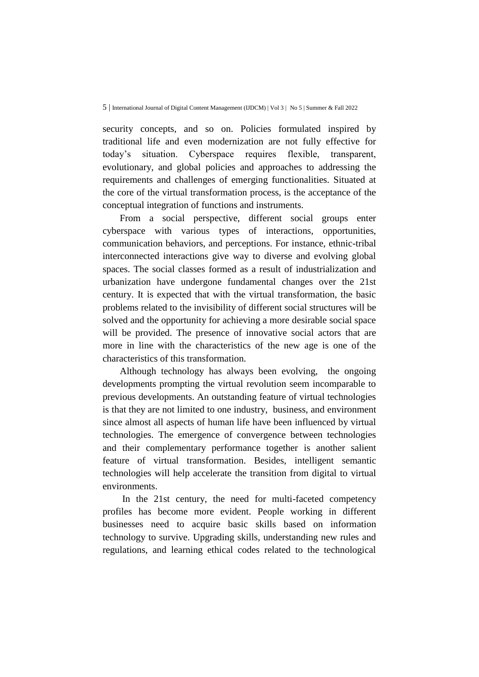security concepts, and so on. Policies formulated inspired by traditional life and even modernization are not fully effective for today's situation. Cyberspace requires flexible, transparent, evolutionary, and global policies and approaches to addressing the requirements and challenges of emerging functionalities. Situated at the core of the virtual transformation process, is the acceptance of the conceptual integration of functions and instruments.

From a social perspective, different social groups enter cyberspace with various types of interactions, opportunities, communication behaviors, and perceptions. For instance, ethnic-tribal interconnected interactions give way to diverse and evolving global spaces. The social classes formed as a result of industrialization and urbanization have undergone fundamental changes over the 21st century. It is expected that with the virtual transformation, the basic problems related to the invisibility of different social structures will be solved and the opportunity for achieving a more desirable social space will be provided. The presence of innovative social actors that are more in line with the characteristics of the new age is one of the characteristics of this transformation.

Although technology has always been evolving, the ongoing developments prompting the virtual revolution seem incomparable to previous developments. An outstanding feature of virtual technologies is that they are not limited to one industry, business, and environment since almost all aspects of human life have been influenced by virtual technologies. The emergence of convergence between technologies and their complementary performance together is another salient feature of virtual transformation. Besides, intelligent semantic technologies will help accelerate the transition from digital to virtual environments.

In the 21st century, the need for multi-faceted competency profiles has become more evident. People working in different businesses need to acquire basic skills based on information technology to survive. Upgrading skills, understanding new rules and regulations, and learning ethical codes related to the technological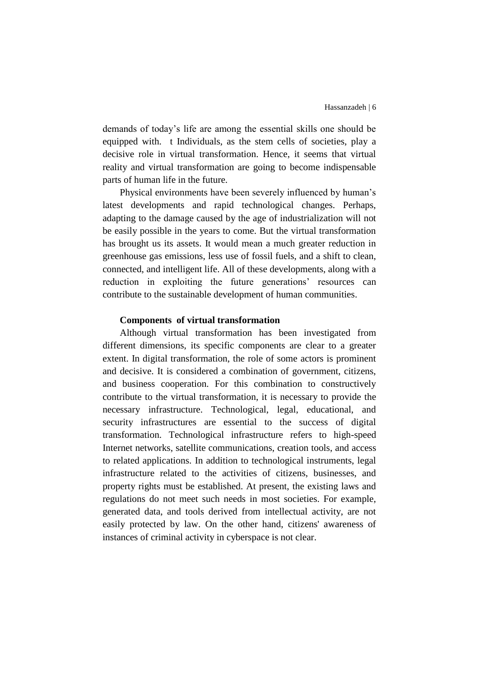demands of today's life are among the essential skills one should be equipped with. t Individuals, as the stem cells of societies, play a decisive role in virtual transformation. Hence, it seems that virtual reality and virtual transformation are going to become indispensable parts of human life in the future.

Physical environments have been severely influenced by human's latest developments and rapid technological changes. Perhaps, adapting to the damage caused by the age of industrialization will not be easily possible in the years to come. But the virtual transformation has brought us its assets. It would mean a much greater reduction in greenhouse gas emissions, less use of fossil fuels, and a shift to clean, connected, and intelligent life. All of these developments, along with a reduction in exploiting the future generations' resources can contribute to the sustainable development of human communities.

#### **Components of virtual transformation**

Although virtual transformation has been investigated from different dimensions, its specific components are clear to a greater extent. In digital transformation, the role of some actors is prominent and decisive. It is considered a combination of government, citizens, and business cooperation. For this combination to constructively contribute to the virtual transformation, it is necessary to provide the necessary infrastructure. Technological, legal, educational, and security infrastructures are essential to the success of digital transformation. Technological infrastructure refers to high-speed Internet networks, satellite communications, creation tools, and access to related applications. In addition to technological instruments, legal infrastructure related to the activities of citizens, businesses, and property rights must be established. At present, the existing laws and regulations do not meet such needs in most societies. For example, generated data, and tools derived from intellectual activity, are not easily protected by law. On the other hand, citizens' awareness of instances of criminal activity in cyberspace is not clear.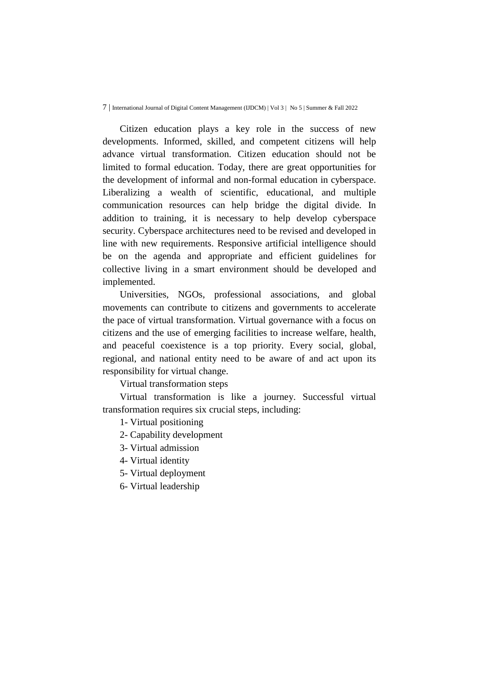#### 7 | International Journal of Digital Content Management (IJDCM) | Vol 3 | No 5 | Summer & Fall 2022

Citizen education plays a key role in the success of new developments. Informed, skilled, and competent citizens will help advance virtual transformation. Citizen education should not be limited to formal education. Today, there are great opportunities for the development of informal and non-formal education in cyberspace. Liberalizing a wealth of scientific, educational, and multiple communication resources can help bridge the digital divide. In addition to training, it is necessary to help develop cyberspace security. Cyberspace architectures need to be revised and developed in line with new requirements. Responsive artificial intelligence should be on the agenda and appropriate and efficient guidelines for collective living in a smart environment should be developed and implemented.

Universities, NGOs, professional associations, and global movements can contribute to citizens and governments to accelerate the pace of virtual transformation. Virtual governance with a focus on citizens and the use of emerging facilities to increase welfare, health, and peaceful coexistence is a top priority. Every social, global, regional, and national entity need to be aware of and act upon its responsibility for virtual change.

Virtual transformation steps

Virtual transformation is like a journey. Successful virtual transformation requires six crucial steps, including:

1- Virtual positioning

- 2- Capability development
- 3- Virtual admission
- 4- Virtual identity
- 5- Virtual deployment
- 6- Virtual leadership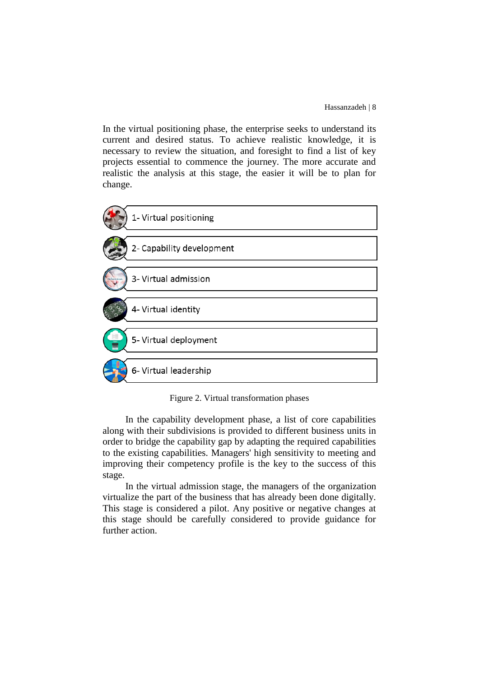In the virtual positioning phase, the enterprise seeks to understand its current and desired status. To achieve realistic knowledge, it is necessary to review the situation, and foresight to find a list of key projects essential to commence the journey. The more accurate and realistic the analysis at this stage, the easier it will be to plan for change.



Figure 2. Virtual transformation phases

In the capability development phase, a list of core capabilities along with their subdivisions is provided to different business units in order to bridge the capability gap by adapting the required capabilities to the existing capabilities. Managers' high sensitivity to meeting and improving their competency profile is the key to the success of this stage.

In the virtual admission stage, the managers of the organization virtualize the part of the business that has already been done digitally. This stage is considered a pilot. Any positive or negative changes at this stage should be carefully considered to provide guidance for further action.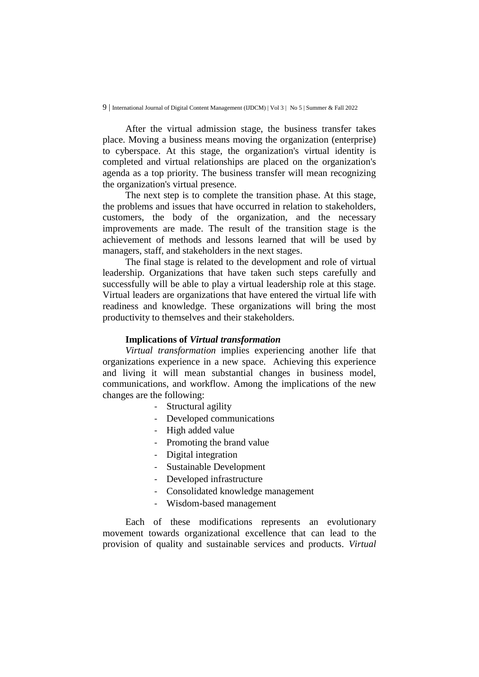9 | International Journal of Digital Content Management (IJDCM) | Vol 3 | No 5 | Summer & Fall 2022

After the virtual admission stage, the business transfer takes place. Moving a business means moving the organization (enterprise) to cyberspace. At this stage, the organization's virtual identity is completed and virtual relationships are placed on the organization's agenda as a top priority. The business transfer will mean recognizing the organization's virtual presence.

The next step is to complete the transition phase. At this stage, the problems and issues that have occurred in relation to stakeholders, customers, the body of the organization, and the necessary improvements are made. The result of the transition stage is the achievement of methods and lessons learned that will be used by managers, staff, and stakeholders in the next stages.

The final stage is related to the development and role of virtual leadership. Organizations that have taken such steps carefully and successfully will be able to play a virtual leadership role at this stage. Virtual leaders are organizations that have entered the virtual life with readiness and knowledge. These organizations will bring the most productivity to themselves and their stakeholders.

#### **Implications of** *Virtual transformation*

*Virtual transformation* implies experiencing another life that organizations experience in a new space. Achieving this experience and living it will mean substantial changes in business model, communications, and workflow. Among the implications of the new changes are the following:

- Structural agility
- Developed communications
- High added value
- Promoting the brand value
- Digital integration
- Sustainable Development
- Developed infrastructure
- Consolidated knowledge management
- Wisdom-based management

Each of these modifications represents an evolutionary movement towards organizational excellence that can lead to the provision of quality and sustainable services and products. *Virtual*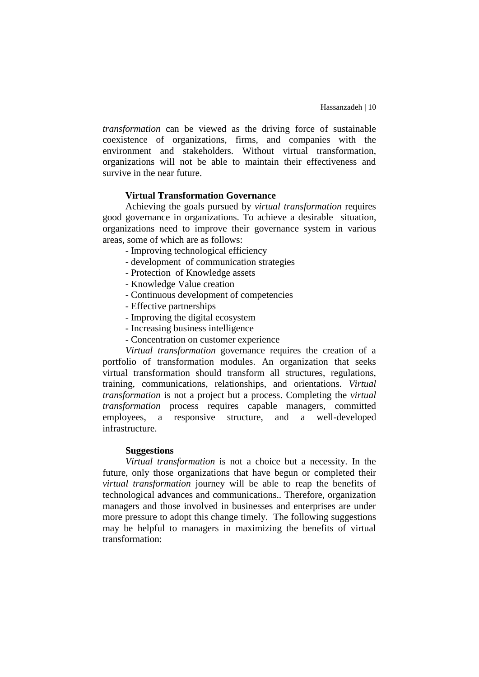*transformation* can be viewed as the driving force of sustainable coexistence of organizations, firms, and companies with the environment and stakeholders. Without virtual transformation, organizations will not be able to maintain their effectiveness and survive in the near future.

#### **Virtual Transformation Governance**

Achieving the goals pursued by *virtual transformation* requires good governance in organizations. To achieve a desirable situation, organizations need to improve their governance system in various areas, some of which are as follows:

- Improving technological efficiency
- development of communication strategies
- Protection of Knowledge assets
- Knowledge Value creation
- Continuous development of competencies
- Effective partnerships
- Improving the digital ecosystem
- Increasing business intelligence
- Concentration on customer experience

*Virtual transformation* governance requires the creation of a portfolio of transformation modules. An organization that seeks virtual transformation should transform all structures, regulations, training, communications, relationships, and orientations. *Virtual transformation* is not a project but a process. Completing the *virtual transformation* process requires capable managers, committed employees, a responsive structure, and a well-developed infrastructure.

#### **Suggestions**

*Virtual transformation* is not a choice but a necessity. In the future, only those organizations that have begun or completed their *virtual transformation* journey will be able to reap the benefits of technological advances and communications.. Therefore, organization managers and those involved in businesses and enterprises are under more pressure to adopt this change timely. The following suggestions may be helpful to managers in maximizing the benefits of virtual transformation: